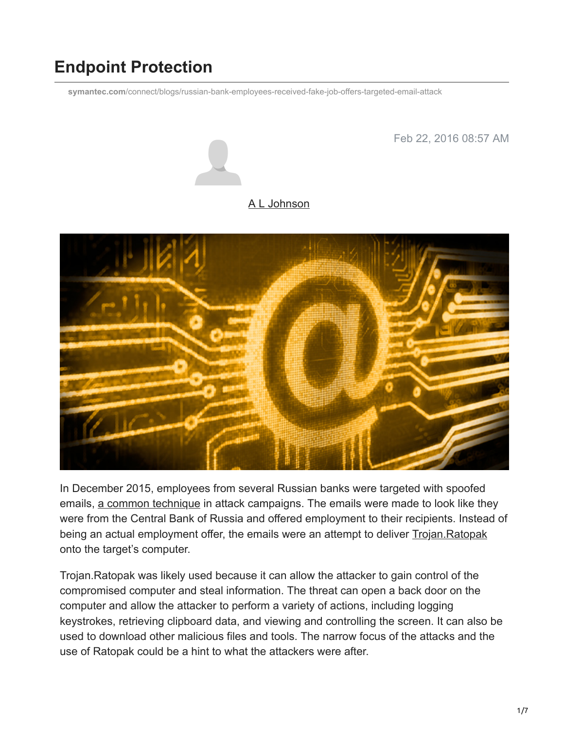# **Endpoint Protection**

**symantec.com**[/connect/blogs/russian-bank-employees-received-fake-job-offers-targeted-email-attack](https://www.symantec.com/connect/blogs/russian-bank-employees-received-fake-job-offers-targeted-email-attack)

Feb 22, 2016 08:57 AM

#### [A L Johnson](https://community.broadcom.com/symantecenterprise/network/members/profile?UserKey=cbd453fd-3ce1-4c47-af77-d746256f9bc4)



In December 2015, employees from several Russian banks were targeted with spoofed emails, [a common technique](https://community.broadcom.com/symantecenterprise/viewdocument?DocumentKey=38d9a6b0-433c-4ab6-8a37-4413343e3c0c&CommunityKey=f5d62f53-a337-4805-842f-e5bc06329b21&tab=librarydocuments) in attack campaigns. The emails were made to look like they were from the Central Bank of Russia and offered employment to their recipients. Instead of being an actual employment offer, the emails were an attempt to deliver [Trojan.Ratopak](http://www.symantec.com/security_response/writeup.jsp?docid=2015-120705-5313-99) onto the target's computer.

Trojan.Ratopak was likely used because it can allow the attacker to gain control of the compromised computer and steal information. The threat can open a back door on the computer and allow the attacker to perform a variety of actions, including logging keystrokes, retrieving clipboard data, and viewing and controlling the screen. It can also be used to download other malicious files and tools. The narrow focus of the attacks and the use of Ratopak could be a hint to what the attackers were after.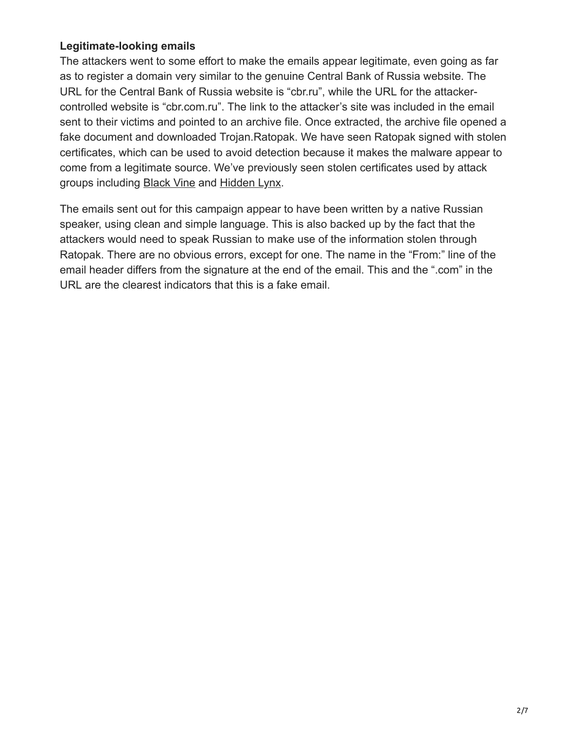#### **Legitimate-looking emails**

The attackers went to some effort to make the emails appear legitimate, even going as far as to register a domain very similar to the genuine Central Bank of Russia website. The URL for the Central Bank of Russia website is "cbr.ru", while the URL for the attackercontrolled website is "cbr.com.ru". The link to the attacker's site was included in the email sent to their victims and pointed to an archive file. Once extracted, the archive file opened a fake document and downloaded Trojan.Ratopak. We have seen Ratopak signed with stolen certificates, which can be used to avoid detection because it makes the malware appear to come from a legitimate source. We've previously seen stolen certificates used by attack groups including [Black Vine](http://www.symantec.com/content/en/us/enterprise/media/security_response/whitepapers/the-black-vine-cyberespionage-group.pdf) and [Hidden Lynx](http://www.symantec.com/content/en/us/enterprise/media/security_response/whitepapers/hidden_lynx.pdf).

The emails sent out for this campaign appear to have been written by a native Russian speaker, using clean and simple language. This is also backed up by the fact that the attackers would need to speak Russian to make use of the information stolen through Ratopak. There are no obvious errors, except for one. The name in the "From:" line of the email header differs from the signature at the end of the email. This and the ".com" in the URL are the clearest indicators that this is a fake email.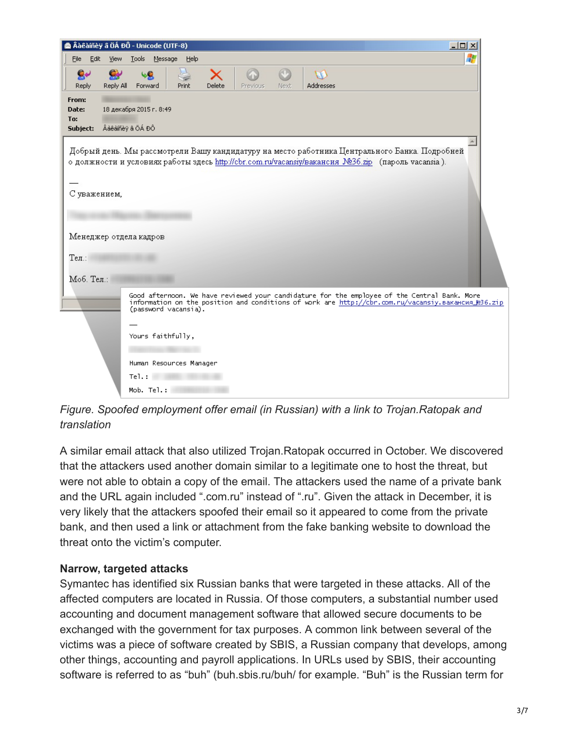|                                                                                                                                                                                                                     | Âàêàíñèy â ÖÁ ĐÔ - Unicode (UTF-8)<br>$  D $ $\times$                                                                                                                                                                      |   |
|---------------------------------------------------------------------------------------------------------------------------------------------------------------------------------------------------------------------|----------------------------------------------------------------------------------------------------------------------------------------------------------------------------------------------------------------------------|---|
| Eile<br>Edit<br><b>View</b>                                                                                                                                                                                         | Tools Message Help                                                                                                                                                                                                         | 4 |
| $\mathbf{e}$<br>Reply All<br>Reply                                                                                                                                                                                  | x<br>Delete<br>Forward<br>Addresses<br>Print<br><b>Previous</b><br>Next                                                                                                                                                    |   |
| From:<br>Date:<br>To:<br>Subject:                                                                                                                                                                                   | 18 декабря 2015 г. 8:49<br>Âàêàiñèÿ â ÖÁ ĐÔ                                                                                                                                                                                |   |
| Добрый день. Мы рассмотрели Вашу кандидатуру на место работника Центрального Банка. Подробней<br>о должности и условиях работы здесь http://cbr.com.ru/vacansiy/вакансия №36.zip (пароль vacansia).<br>С уважением, |                                                                                                                                                                                                                            |   |
| Менеджер отдела кадров                                                                                                                                                                                              |                                                                                                                                                                                                                            |   |
| $T$ ел $\therefore$<br>Моб. Тел.:                                                                                                                                                                                   |                                                                                                                                                                                                                            |   |
|                                                                                                                                                                                                                     | Good afternoon. We have reviewed your candidature for the employee of the Central Bank. More<br>information on the position and conditions of work are http://cbr.com.ru/vacansiy.вакансия_№36.zip<br>(password vacansia). |   |
|                                                                                                                                                                                                                     | Yours faithfully,                                                                                                                                                                                                          |   |
|                                                                                                                                                                                                                     |                                                                                                                                                                                                                            |   |
|                                                                                                                                                                                                                     |                                                                                                                                                                                                                            |   |
|                                                                                                                                                                                                                     | Mob. Tel.:                                                                                                                                                                                                                 |   |
|                                                                                                                                                                                                                     | Human Resources Manager<br>Te1.:                                                                                                                                                                                           |   |

*Figure. Spoofed employment offer email (in Russian) with a link to Trojan.Ratopak and translation*

A similar email attack that also utilized Trojan.Ratopak occurred in October. We discovered that the attackers used another domain similar to a legitimate one to host the threat, but were not able to obtain a copy of the email. The attackers used the name of a private bank and the URL again included ".com.ru" instead of ".ru". Given the attack in December, it is very likely that the attackers spoofed their email so it appeared to come from the private bank, and then used a link or attachment from the fake banking website to download the threat onto the victim's computer.

#### **Narrow, targeted attacks**

Symantec has identified six Russian banks that were targeted in these attacks. All of the affected computers are located in Russia. Of those computers, a substantial number used accounting and document management software that allowed secure documents to be exchanged with the government for tax purposes. A common link between several of the victims was a piece of software created by SBIS, a Russian company that develops, among other things, accounting and payroll applications. In URLs used by SBIS, their accounting software is referred to as "buh" (buh.sbis.ru/buh/ for example. "Buh" is the Russian term for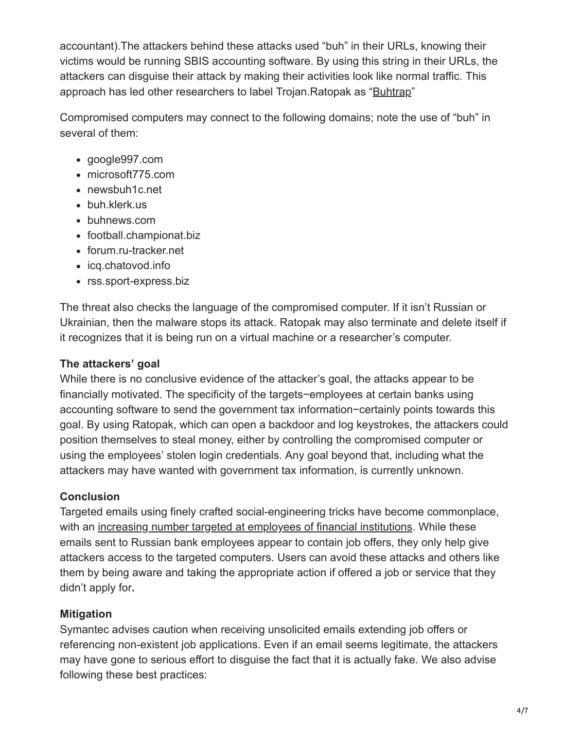accountant).The attackers behind these attacks used "buh" in their URLs, knowing their victims would be running SBIS accounting software. By using this string in their URLs, the attackers can disguise their attack by making their activities look like normal traffic. This approach has led other researchers to label Trojan.Ratopak as "[Buhtrap"](http://www.welivesecurity.com/2015/04/09/operation-buhtrap/)

Compromised computers may connect to the following domains; note the use of "buh" in several of them:

- google997.com
- microsoft775.com
- newsbuh1c.net
- buh.klerk.us
- buhnews.com
- football.championat.biz
- forum.ru-tracker.net
- icq.chatovod.info
- rss.sport-express.biz

The threat also checks the language of the compromised computer. If it isn't Russian or Ukrainian, then the malware stops its attack. Ratopak may also terminate and delete itself if it recognizes that it is being run on a virtual machine or a researcher's computer.

#### **The attackers' goal**

While there is no conclusive evidence of the attacker's goal, the attacks appear to be financially motivated. The specificity of the targets−employees at certain banks using accounting software to send the government tax information−certainly points towards this goal. By using Ratopak, which can open a backdoor and log keystrokes, the attackers could position themselves to steal money, either by controlling the compromised computer or using the employees' stolen login credentials. Any goal beyond that, including what the attackers may have wanted with government tax information, is currently unknown.

#### **Conclusion**

Targeted emails using finely crafted social-engineering tricks have become commonplace, with an [increasing number targeted at employees of financial institutions.](https://community.broadcom.com/symantecenterprise/viewdocument?DocumentKey=cb348610-d171-4302-a5f4-349ab4596500&CommunityKey=1ecf5f55-9545-44d6-b0f4-4e4a7f5f5e68&tab=librarydocuments) While these emails sent to Russian bank employees appear to contain job offers, they only help give attackers access to the targeted computers. Users can avoid these attacks and others like them by being aware and taking the appropriate action if offered a job or service that they didn't apply for**.**

#### **Mitigation**

Symantec advises caution when receiving unsolicited emails extending job offers or referencing non-existent job applications. Even if an email seems legitimate, the attackers may have gone to serious effort to disguise the fact that it is actually fake. We also advise following these best practices: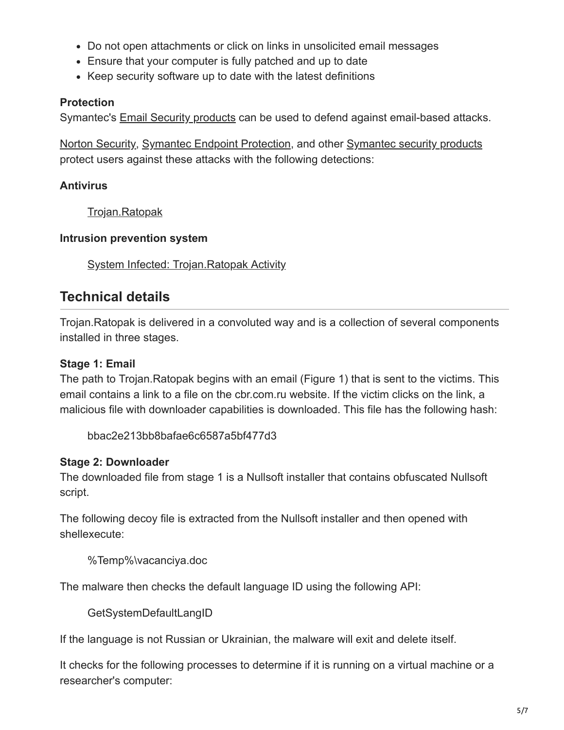- Do not open attachments or click on links in unsolicited email messages
- Ensure that your computer is fully patched and up to date
- Keep security software up to date with the latest definitions

### **Protection**

Symantec's [Email Security products](http://www.symantec.com/email/) can be used to defend against email-based attacks.

[Norton Security,](https://us.norton.com/) [Symantec Endpoint Protection,](https://www.symantec.com/endpoint-protection/) and other [Symantec security products](http://www.symantec.com/products-solutions/) protect users against these attacks with the following detections:

### **Antivirus**

[Trojan.Ratopak](http://www.symantec.com/security_response/writeup.jsp?docid=2015-120705-5313-99)

#### **Intrusion prevention system**

[System Infected: Trojan.Ratopak Activity](http://www.symantec.com/security_response/attacksignatures/detail.jsp?asid=23644)

## **Technical details**

Trojan.Ratopak is delivered in a convoluted way and is a collection of several components installed in three stages.

### **Stage 1: Email**

The path to Trojan.Ratopak begins with an email (Figure 1) that is sent to the victims. This email contains a link to a file on the cbr.com.ru website. If the victim clicks on the link, a malicious file with downloader capabilities is downloaded. This file has the following hash:

bbac2e213bb8bafae6c6587a5bf477d3

### **Stage 2: Downloader**

The downloaded file from stage 1 is a Nullsoft installer that contains obfuscated Nullsoft script.

The following decoy file is extracted from the Nullsoft installer and then opened with shellexecute:

%Temp%\vacanciya.doc

The malware then checks the default language ID using the following API:

GetSystemDefaultLangID

If the language is not Russian or Ukrainian, the malware will exit and delete itself.

It checks for the following processes to determine if it is running on a virtual machine or a researcher's computer: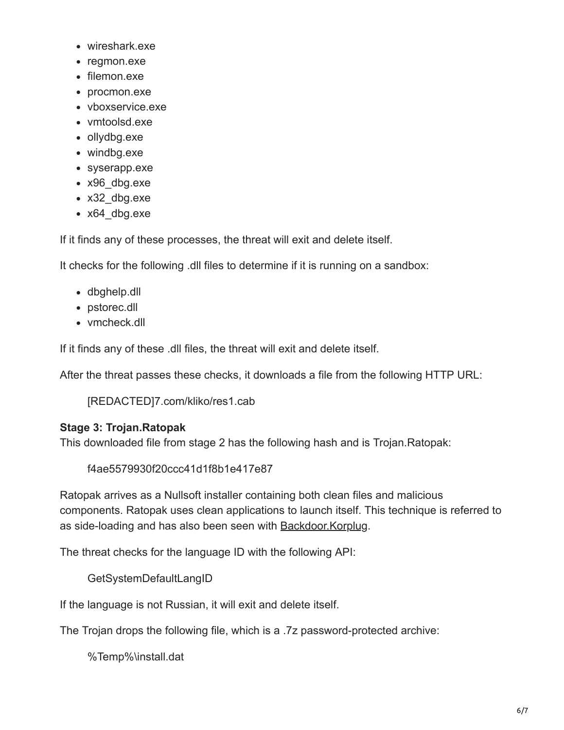- wireshark.exe
- regmon.exe
- filemon.exe
- procmon.exe
- vboxservice.exe
- vmtoolsd.exe
- ollydbg.exe
- windbg.exe
- syserapp.exe
- x96\_dbg.exe
- x32\_dbg.exe
- x64\_dbg.exe

If it finds any of these processes, the threat will exit and delete itself.

It checks for the following .dll files to determine if it is running on a sandbox:

- dbghelp.dll
- pstorec.dll
- vmcheck.dll

If it finds any of these .dll files, the threat will exit and delete itself.

After the threat passes these checks, it downloads a file from the following HTTP URL:

[REDACTED]7.com/kliko/res1.cab

#### **Stage 3: Trojan.Ratopak**

This downloaded file from stage 2 has the following hash and is Trojan.Ratopak:

f4ae5579930f20ccc41d1f8b1e417e87

Ratopak arrives as a Nullsoft installer containing both clean files and malicious components. Ratopak uses clean applications to launch itself. This technique is referred to as side-loading and has also been seen with **Backdoor. Korplug.** 

The threat checks for the language ID with the following API:

GetSystemDefaultLangID

If the language is not Russian, it will exit and delete itself.

The Trojan drops the following file, which is a .7z password-protected archive:

%Temp%\install.dat